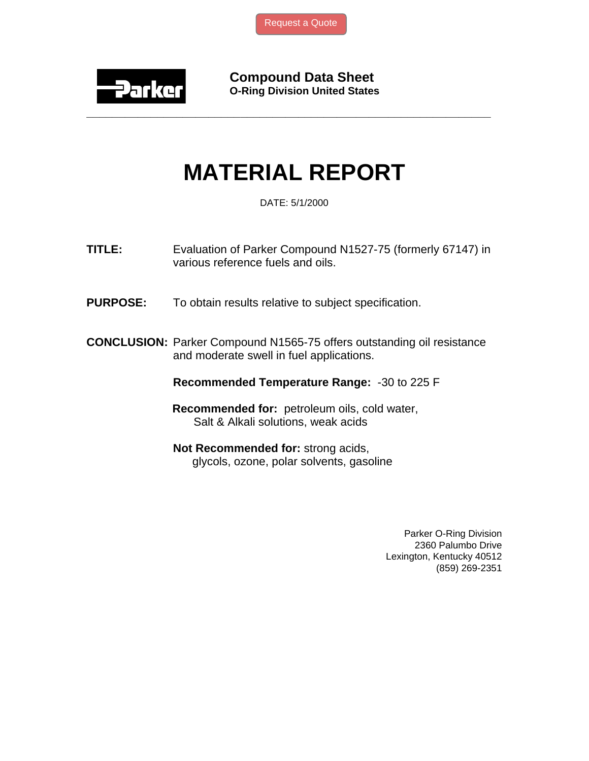

**Compound Data Sheet O-Ring Division United States** 

## **MATERIAL REPORT**

**\_\_\_\_\_\_\_\_\_\_\_\_\_\_\_\_\_\_\_\_\_\_\_\_\_\_\_\_\_\_\_\_\_\_\_\_\_\_\_\_\_\_\_\_\_\_\_\_\_\_\_\_\_\_\_\_\_\_\_\_\_\_\_** 

DATE: 5/1/2000

**TITLE:** Evaluation of Parker Compound N1527-75 (formerly 67147) in various reference fuels and oils.

**PURPOSE:** To obtain results relative to subject specification.

**CONCLUSION:** Parker Compound N1565-75 offers outstanding oil resistance and moderate swell in fuel applications.

**Recommended Temperature Range:** -30 to 225 F

 **Recommended for:** petroleum oils, cold water, Salt & Alkali solutions, weak acids

**Not Recommended for:** strong acids, glycols, ozone, polar solvents, gasoline

> Parker O-Ring Division 2360 Palumbo Drive Lexington, Kentucky 40512 (859) 269-2351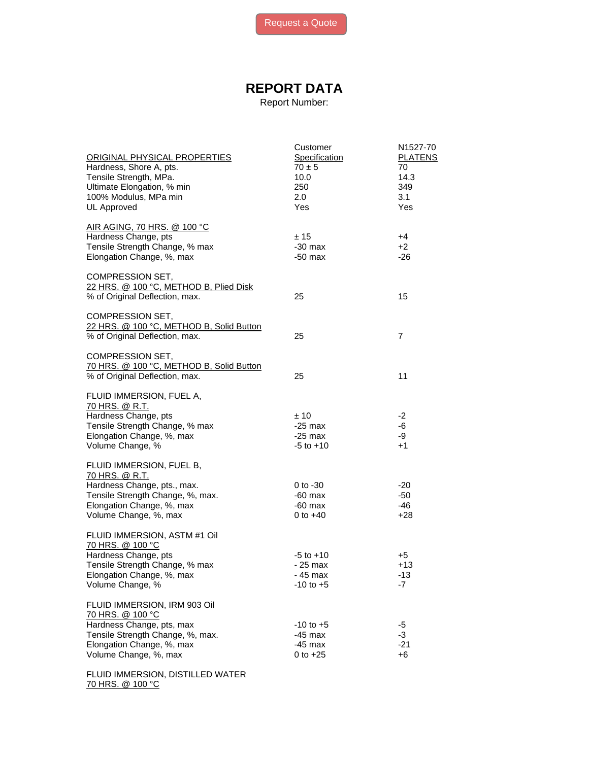## **REPORT DATA**

Report Number:

| ORIGINAL PHYSICAL PROPERTIES<br>Hardness, Shore A, pts.<br>Tensile Strength, MPa.                                                                                       | Customer<br>Specification<br>$70 \pm 5$<br>10.0        | N1527-70<br><b>PLATENS</b><br>70<br>14.3 |
|-------------------------------------------------------------------------------------------------------------------------------------------------------------------------|--------------------------------------------------------|------------------------------------------|
| Ultimate Elongation, % min<br>100% Modulus, MPa min<br>UL Approved                                                                                                      | 250<br>2.0<br>Yes                                      | 349<br>3.1<br>Yes                        |
| AIR AGING, 70 HRS. @ 100 °C<br>Hardness Change, pts<br>Tensile Strength Change, % max<br>Elongation Change, %, max                                                      | ± 15<br>$-30$ max<br>$-50$ max                         | +4<br>$+2$<br>$-26$                      |
| COMPRESSION SET,<br>22 HRS. @ 100 °C, METHOD B, Plied Disk<br>% of Original Deflection, max.                                                                            | 25                                                     | 15                                       |
| COMPRESSION SET,<br>22 HRS. @ 100 °C, METHOD B, Solid Button<br>% of Original Deflection, max.                                                                          | 25                                                     | 7                                        |
| <b>COMPRESSION SET,</b><br>70 HRS. @ 100 °C, METHOD B, Solid Button<br>% of Original Deflection, max.                                                                   | 25                                                     | 11                                       |
| FLUID IMMERSION, FUEL A,<br>70 HRS. @ R.T.<br>Hardness Change, pts<br>Tensile Strength Change, % max<br>Elongation Change, %, max<br>Volume Change, %                   | ±10<br>$-25$ max<br>$-25$ max<br>$-5$ to $+10$         | -2<br>-6<br>-9<br>$+1$                   |
| FLUID IMMERSION, FUEL B,<br>70 HRS. @ R.T.<br>Hardness Change, pts., max.<br>Tensile Strength Change, %, max.<br>Elongation Change, %, max<br>Volume Change, %, max     | $0$ to $-30$<br>$-60$ max<br>$-60$ max<br>0 to $+40$   | -20<br>$-50$<br>$-46$<br>$+28$           |
| FLUID IMMERSION, ASTM #1 Oil<br>70 HRS. @ 100 °C<br>Hardness Change, pts<br>Tensile Strength Change, % max<br>Elongation Change, %, max<br>Volume Change, %             | $-5$ to $+10$<br>- 25 max<br>- 45 max<br>$-10$ to $+5$ | +5<br>$+13$<br>$-13$<br>-7               |
| FLUID IMMERSION, IRM 903 Oil<br>70 HRS. @ 100 °C<br>Hardness Change, pts, max<br>Tensile Strength Change, %, max.<br>Elongation Change, %, max<br>Volume Change, %, max | $-10$ to $+5$<br>$-45$ max<br>$-45$ max<br>0 to $+25$  | -5<br>-3<br>$-21$<br>$+6$                |
| FLUID IMMERSION, DISTILLED WATER                                                                                                                                        |                                                        |                                          |

70 HRS. @ 100 °C